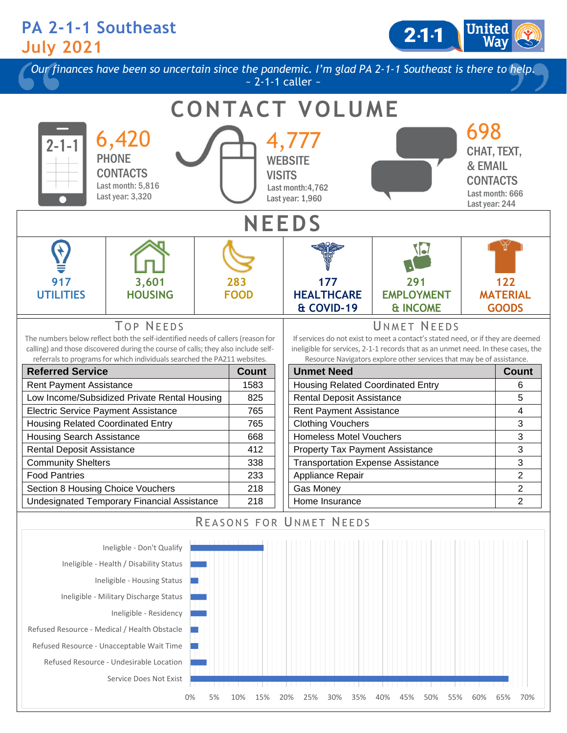## **PA 2-1-1 Southeast July 2021**

Service Does Not Exist

2-1-1

*Our finances have been so uncertain since the pandemic. I'm glad PA 2-1-1 Southeast is there to help.*  $\sim$  2-1-1 caller  $\sim$ 



0% 5% 10% 15% 20% 25% 30% 35% 40% 45% 50% 55% 60% 65% 70%